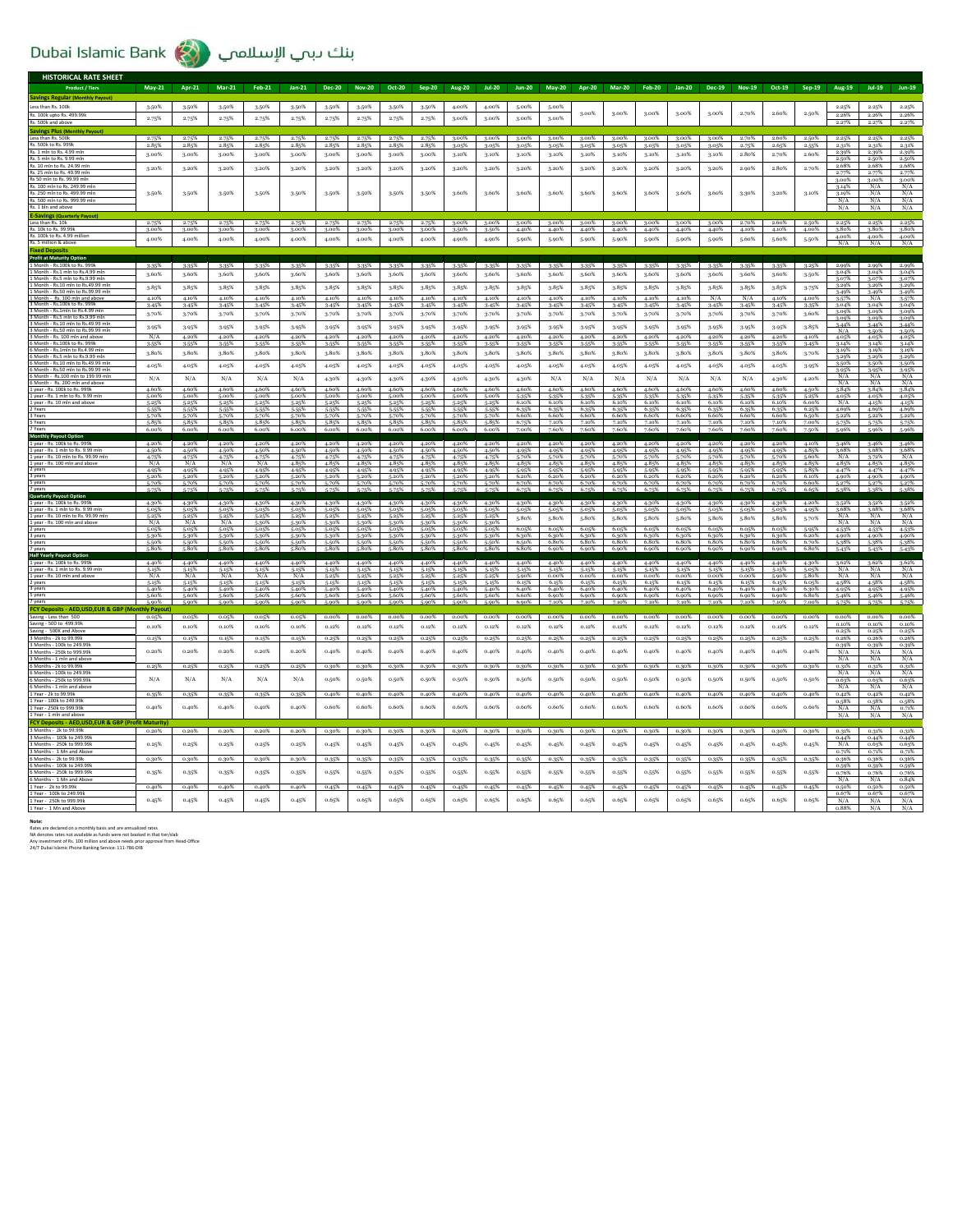## Dubai Islamic Bank (المسلامي الإسلامي

| <b>HISTORICAL RATE SHEET</b>                                             |                      |                      |                      |                      |                |                |                |                |                |                |                |                |                |                |                |                   |                |                   |                |                |                |                |                      |                   |
|--------------------------------------------------------------------------|----------------------|----------------------|----------------------|----------------------|----------------|----------------|----------------|----------------|----------------|----------------|----------------|----------------|----------------|----------------|----------------|-------------------|----------------|-------------------|----------------|----------------|----------------|----------------|----------------------|-------------------|
| <b>Product / Tiers</b>                                                   | <b>May-21</b>        | Apr-21               | $Mar-21$             | <b>Feb-21</b>        | $Jan-21$       | <b>Dec-20</b>  | <b>Nov-20</b>  | Oct-20         | Sep-20         | <b>Aug-20</b>  | $101-20$       | <b>Jun-20</b>  | <b>May-20</b>  | Apr-20         | Mar-20         | Feb-20            | Jan-20         | Dec-19            | <b>Nov-19</b>  | Oct-19         | Sep-19         | Aug-19         | <b>Jul-19</b>        | <b>Jun-19</b>     |
| <b>Savings Regular (Monthly Payout)</b>                                  |                      |                      |                      |                      |                |                |                |                |                |                |                |                |                |                |                |                   |                |                   |                |                |                |                |                      |                   |
| Less than Rs. 100k                                                       | 3.50%                | 3.50%                | 3.50%                | 3-50%                | 3.50%          | 3-50%          | 3.50%          | 3.50%          | 3.50%          | 4.00%          | 4.00%          | 5.00%          | 5.00%          |                |                |                   |                |                   |                |                |                | 2.25%          | 2.25%                | 2.25%             |
| Rs. 100k upto Rs. 499.99k                                                | 2.75%                | 2.75%                | 2.75%                | 2.75%                | 2.75%          | 2.75%          | 2.75%          | 2.75%          | 2.75%          | 3.00%          | 3.00%          | 3.00%          | 3.00%          | 3.00%          | 3.00%          | 3.00%             | 3.00%          | 3.00%             | 2.70%          | 2.60%          | $2.50\%$       | 2.26%<br>2.27% | 2.26%<br>2.27%       | 2.26%             |
| Rs. 500k and abo<br><b>Savings Plus (Monthly Pavout)</b>                 |                      |                      |                      |                      |                |                |                |                |                |                |                |                |                |                |                |                   |                |                   |                |                |                |                |                      | 2.27%             |
| Less than Rs. 500k                                                       | 2.75%                | 2.75%                | 2.75%                | 2.75%                | 2.75%          | 2.75%          | 2.75%          | 2.75%          | 2.75%          | 3.00%          | $3.00\%$       | 3.00%          | 3.00%          | 3.00%          | $3.00\%$       | 3.00%             | 3.00%          | 3.00%             | 2.70%          | 2.60%          | 2.50%          | 2.25%          | 2.25%                | 2.25%             |
| Rs. 500k to Rs. 999k                                                     | 2.85%                | 2.85%                | 2.85%                | 2.85%                | 2.85%          | 2.85%          | 2.85%          | 2.85%          | 2.85%          | 3.05%          | 3.05%          | 3.05%          | 3.05%          | 3.05%          | 3.05%          | 3.05%             | 3.05%          | 3.05%             | 2.75%          | 2.65%          | 2.55%          | 2.31%          | 2.31%                | 2.31%             |
| Rs. 1 mln to Rs. 4.99 mln<br>Rs. 5 mln to Rs. 9.99 mln                   | 3.00%                | 3.00%                | 3.00%                | 3.00%                | 3.00%          | 3.00%          | 3.00%          | 3.00%          | 3.00%          | 3.10%          | 3.10%          | 3.10%          | 3.10%          | 3.10%          | 3.10%          | 3.10%             | 3.10%          | 3.10%             | 2.80%          | 2.70%          | 2.60%          | 2.39%<br>2.50% | 2.39%<br>2.50%       | 2.39%<br>2.50%    |
| Rs. 10 mln to Rs. 24.99 mln                                              | 3.20%                | 3.20%                | 3.20%                | 3.20%                | 3.20%          | 3.20%          | 3.20%          | 3.20%          | 3.20%          | 3.20%          | 3.20%          | 3.20%          | 3.20%          | 3.20%          | 3.20%          | 3.20%             | 3.20%          | 3.20%             | 2.90%          | 2.80%          | 2.70%          | 2.68%          | 2.68%                | 2.68%             |
| Rs. 25 mln to Rs. 49.99 mln<br>Rs 50 mln to Rs. 99.99 mln                |                      |                      |                      |                      |                |                |                |                |                |                |                |                |                |                |                |                   |                |                   |                |                |                | 2.77%<br>3.00% | 2.77%<br>3.00%       | 2.77%<br>3.00%    |
| Rs. 100 mln to Rs. 249.99 mln                                            |                      |                      |                      |                      |                |                |                |                |                |                |                |                |                |                |                |                   |                |                   |                |                |                | 3.14%          | N/A                  | N/A               |
| Rs. 250 mln to Rs. 499.99 ml                                             | 3.50%                | 3.50%                | 3.50%                | 3-50%                | 3.50%          | 3-50%          | 3.50%          | 3.50%          | 3.50%          | 3.60%          | 3.60%          | 3.60%          | 3.60%          | 3.60%          | 3.60%          | 3.60%             | 3.60%          | 3.60%             | 3.30%          | 3.20%          | 3.10%          | 3.19%          | N/A                  | N/A               |
| Rs. 500 mln to Rs. 999.99 mln<br>Rs. 1 bln and above                     |                      |                      |                      |                      |                |                |                |                |                |                |                |                |                |                |                |                   |                |                   |                |                |                | N/A<br>N/A     | N/A<br>N/A           | $\frac{N/A}{N/A}$ |
| <b>E-Savings (Quarterly Payout)</b>                                      |                      |                      |                      |                      |                |                |                |                |                |                |                |                |                |                |                |                   |                |                   |                |                |                |                |                      |                   |
| Less than Rs. 10k                                                        | 2.75%                | 2.75%                | 2.75%                | 2.75%                | 2.75%          | 2.75%          | 2.75%          | 2.75%          | 2.75%          | 3.00%          | 3.00%          | 3.00%          | 3.00%          | $3.00\%$       |                | $3.00\%$ $3.00\%$ |                | $3.00\%$ $3.00\%$ | 2.70%          | 2.60%          | 2.50%          | 2.25%          | 2.25%                | 2.25%             |
| Rs. 10k to Rs. 99.99k<br>Rs. 100k to Rs. 4.99 million                    | 3.00%<br>4.00%       | 3.00%<br>4.00%       | 3.00%<br>4.00%       | 3.00%<br>4.00%       | 3.00%<br>4.00% | 3.00%<br>4.00% | 3.00%<br>4.00% | 3.00%          | 3.00%<br>4.00% | 3-50%<br>4.90% | 3.50%<br>4.90% | 4.40%          | 4.40%<br>5.90% | 4.40%<br>5.90% | 4.40%<br>5.90% | 4.40%<br>5.90%    | 4.40%<br>5.90% | 4.40%<br>5.90%    | 4.10%<br>5,60% | 4.10%<br>5.60% | 4.00%<br>5.50% | 3.80%<br>4.00% | 3.80% 3.80%<br>4.00% | 4.00%             |
| Rs. 5 million & above                                                    |                      |                      |                      |                      |                |                |                | 4.00%          |                |                |                | 5.90%          |                |                |                |                   |                |                   |                |                |                | N/A            | N/A                  | N/A               |
| <b>Fived Denosit</b>                                                     |                      |                      |                      |                      |                |                |                |                |                |                |                |                |                |                |                |                   |                |                   |                |                |                |                |                      |                   |
| <b>Profit at Maturity Option</b><br>Month - Rs.100k to Rs. 999k          | $3 - 35%$            | 3.35%                | 3.35%                | 3-35%                | 3-35%          | 3-35%          | $3 - 35%$      | 3-35%          | 3.35%          | 3-35%          | 3-35%          | 3.35%          | 3.35%          | 3-35%          | 3-35%          | 3.35%             | 3.359          | 3-35%             | 3-35%          | 3.35%          | 3.25%          |                | 2.99%                |                   |
| 1 Month - Rs.1 mln to Rs.4.99 mln                                        | 3.60%                | 3.60%                | 3.60%                | 3.60%                | 3.60%          | 3.60%          | 3.60%          | 3.60%          | 3.60%          | 3.60%          | 3.60%          | 3.60%          | 3.60%          | 3.60%          | 3.60%          | 3.60%             | 3.60%          | 3.60%             | 3.60%          | 3.60%          | 3-50%          | 3.04%          | 3.04%                | 3.04%             |
| 1 Month - Rs.5 mln to Rs.9.99 mln<br>1 Month - Rs.10 mln to Rs.49.99 mln | 3.85%                |                      |                      |                      |                | 3.85%          |                | 3.85%          |                |                | 3.85%          | 3.85%          | 3.85%          |                | 3.85%          |                   |                |                   |                | 3.85%          |                | 3.07%<br>3.29% | 3.07%<br>3.29%       | 3.07%<br>3.29%    |
| 1 Month - Rs.50 mln to Rs.99.99 mln                                      |                      | 3.85%                | 3.85%                | 3.85%                | 3.85%          |                | 3.85%          |                | 3.85%          | 3.85%          |                |                |                | 3.85%          |                | 3.85%             | 3.85%          | 3.85%             | 3.85%          |                | $3.75\%$       | 3.49%          | 3.49%                | 3.49%             |
| 1 Month - Rs. 100 mln and above<br>3 Month - Rs 100k to Rs 999           | 4.10%<br>3.45%       | 4.10%<br>3.45%       | 4.10%<br>3.45%       | 4.10%<br>3.45%       | 4.10%<br>3.45% | 4.10%<br>3.45% | 4.10%<br>3.45% | 4.10%<br>3.45% | 4.10%<br>3.45% | 4.10%<br>3.45% | 4.10%<br>3.45% | 4.10%<br>3.45% | 4.10%<br>3.45% | 4.10%<br>3.45% | 4.10%<br>3.45% | 4.10%<br>3.45%    | 4.10%<br>3.45% | N/A<br>3.45%      | N/A<br>3.45%   | 4.10%<br>3.45% | 4.00%<br>3.35% | 3.57%<br>3.04% | N/A<br>3.04%         | 3.57%<br>3.04%    |
| 3 Month - Rs.1mln to Rs.4.99 ml                                          | 3.70%                | 3.70%                | 3.70%                | 3.70%                | 3.70%          | 3.70%          | 3.70%          | 3.70%          | 3.70%          | 3.70%          | 3.70%          | 3.70%          | 3.70%          | 3.70%          | 3.70%          | 3.70%             | 3.70%          | 3.70%             | 3.70%          | 3.70%          | 3.60%          | 3.09%          | 3.09%                | 3.09%             |
| 3 Month - Rs.5 mln to Rs.9.99 ml<br>3 Month - Rs 10 mln to Rs 49 99 ml   |                      |                      |                      |                      |                |                |                |                |                |                |                |                |                |                |                |                   |                |                   |                |                |                | 3.09%<br>3.44% | 3.09%<br>3.44%       | 3.09%<br>3.44%    |
| 3 Month - Rs.50 mln to Rs.99.99 mlr                                      | 3-95%                | 3.95%                | 3.95%                | 3.95%                | 3.95%          | 3.95%          | 3.95%          | 3-95%          | 3.95%          | 3.95%          | 3-95%          | 3.95%          | 3.95%          | 3.95%          | 3-95%          | 3.95%             | 3.95%          | 3.95%             | 3-95%          | 3.95%          | 3.85%          | N/A            | 3.50%                | 3.50%             |
| 3 Month - Rs. 100 mln<br>6 Month - Rs.100k to Rs. 999k                   | N/A<br>3.55%         | 4.20%<br>2.55%       | 4.20%<br>3.55%       | 4.20%<br>3.55%       | 4.20%<br>3.55% | 4.20%<br>3.55% | 4.20%<br>3-55% | 4.20%<br>3-55% | 4.20%<br>3-55% | 4.20%<br>3.55% | 4.20%<br>3-55% | 4.20%<br>3-55% | 4.20%<br>3.55% | 4.20%<br>3.55% | 4.20%<br>3.55% | 4.20%<br>3.55%    | 4.20%<br>3.55% | 4.20%<br>3-55%    | 4.20%<br>3.55% | 4.20%<br>3.55% | 4.10%<br>3.45% | 4.05%<br>3.14% | 4.05%<br>3.14%       | 4.05%<br>3.14%    |
| 6 Month - Rs.1mln to Rs.4.99 mln                                         | 3.80%                | 3.80%                | 3.80%                | 3.80%                | 3.80%          | 3.80%          | 3.80%          | 3.80%          | 3.80%          | 3.80%          | 3.80%          | 3.80%          | 3.80%          | 3.80%          | 3.80%          | 3.80%             | 3.80%          | 3.80%             | 3.80%          | 3.80%          | 3.70%          | 3.19%          | 3.19%                | 3.19%             |
| 6 Month - Rs.5 mln to Rs.9.99 m<br>6 Month - Rs.10 mln to Rs.49.99 mln   |                      |                      |                      |                      |                |                |                |                |                |                |                |                |                |                |                |                   |                |                   |                |                |                | 3.29%<br>3.50% | 3.29%<br>3.50%       | 3.299<br>3.50%    |
| 6 Month - Rs.50 mln to Rs.99.99 ml                                       | 4.05%                | 4.05%                | 4.05%                | 4.05%                | 4.05%          | 4.05%          | 4.05%          | 4.05%          | 4.05%          | 4.05%          | 4.05%          | 4.05%          | 4.05%          | 4.05%          | 4.05%          | 4.05%             | 4.05%          | 4.05%             | 4.05%          | 4.05%          | 3.95%          | 3.95%          | 3.95%                | 3.95%             |
| 6 Month - Rs.100 mln to 199.99 ml<br>6 Month - Rs. 200 mln and above     | $\rm N/A$            | N/A                  | N/A                  | N/A                  | N/A            | 4.30%          | 4.30%          | 4.30%          | 4.30%          | 4.30%          | 4.30%          | 4.30%          | N/A            | N/A            | N/A            | N/A               | N/A            | N/A               | N/A            | 4.30%          | 4.20%          | N/A<br>N/A     | N/A<br>N/A           | N/A<br>N/A        |
| 1 year - Rs. 100k to Rs. 999                                             | 4.60%                | 4.60%                | 4.60%                | 4.60%                | 4.60%          | 4.60%          | 4.60%          | 4.60%          | 4.60%          | 4.60%          | 4.60%          | 4.60%          | 4.60%          | 4.60%          | 4.60%          | 4.60%             | 4.60%          | 4.60%             | 4.60%          | 4.60%          | 4.50%          | 3.84%          | 3.84%                | 3.84%             |
| 1 year - Rs. 1 mln to Rs. 9.99 mln<br>1 year - Rs. 10 mln and above      | 5.00%<br>5.25%       | 5.00%<br>5.25%       | 5.00%<br>5.25%       | 5.00%<br>5-25%       | 5.00%<br>5.25% | 5.00%<br>5-25% | 5.00%<br>5.25% | 5.00%<br>5.25% | 5.00%<br>5.25% | 5.00%<br>5.25% | 5.00%<br>5.25% | 5.35%<br>6.10% | 5-35%<br>6.10% | 5-35%<br>6.10% | 5-35%<br>6.10% | 5-35%<br>6.10%    | 5-35%<br>6.10% | 5-35%<br>6.10%    | 5-35%<br>6.10% | 5-35%<br>6.10% | 5.25%<br>6.00% | 4.05%<br>N/A   | 4.05%<br>4.15%       | 4.05%<br>4.15%    |
| 2 Years                                                                  | 5-55%                | 5-55%                | 5-55%                | 5.55%                | 5-55%          | 5.55%          | 5-55%          | 5-55%          | 5.55%          | 5.55%          | 5-55%          | 6.35%          | 6.35%          | 6.35%          | 6.35%          | 6.35%             | 6.35%          | 6.35%             | 6.35%          | 6.35%          | 6.25%          | 4.69%          | 4.69%                | 4.69%             |
| 3 Years<br>5 Years                                                       | 5.85%                | 5.70%<br>5.85%       | 5-70%<br>5.85%       | 5.70%<br>5.85%       | 5.70%<br>5.85% | 5.70%<br>5.85% | 5.70%<br>5.85% | 5.70%<br>5.85% | 5.70%<br>5.85% | 5.70%<br>5.85% | 5.70%<br>5.85% | 6.60%<br>6.75% | 6.60%<br>7.10% | 6.60%<br>7.10% | 6.60%<br>7.10% | 6.60%<br>7.10%    | 6.60%<br>7.10% | 6.60%<br>7.10%    | 6.60%<br>7.10% | 6.60%<br>7.10% | 6.50%<br>7.00% | 5.22%<br>5.75% | 5.22%<br>5.75%       | 5.22%<br>5.75%    |
|                                                                          | 6.00%                | 6.00%                | 6.00%                | 6.00%                | 6.00%          | 6.00%          | 6.00%          | 6.00%          | 6.00%          | 6.00%          | 6.00%          | 7.00%          | 7.60%          | 7.60%          | 7.60%          | 7.60%             | 7.60%          | 7.60%             | 7.60%          | 7.60%          | 7.50%          | 5.96%          | 5.96%                | 5.96%             |
| 7 Years<br>Monthly Payout Option                                         |                      |                      |                      |                      |                |                |                |                |                |                |                |                |                |                |                |                   |                |                   |                |                |                |                |                      |                   |
| 1 year<br>1 year - Rs. 1 mln to Rs. 9.99 mln                             | 4.20%<br>4.50%       | 4.20%<br>4.50%       | 4.20%<br>4.50%       | 4.20%<br>4.50%       | 4.20%<br>4.50% | 4.20%<br>4.50% | 4.20%<br>4.50% | 4.20%<br>4.50% | 4.20%<br>4.50% | 4.20%<br>4.50% | 4.20%<br>4.50% | 4.20%<br>4.95% | 4.20%<br>4.95% | 4.20%<br>4.95% | 4.20%<br>4.95% | 4.20%<br>4.95%    | 4.20%<br>4.95% | 4.20%<br>4.95%    | 4.20%<br>4.95% | 4.20%<br>4.95% | 4.10%<br>4.85% | 3.46%<br>3.68% | 3.46%<br>3.68%       | 3.46%<br>3.68%    |
| 1 year - Rs. 10 mln to Rs. 99.99 mln                                     | 4.75%                | 4.75%                | 4.75%                | 4.75%                | 4.75%          | 4.75%          | 4.75%          | 4.75%          | 4.75%          | 4.75%          | 4.75%          | 5.70%          | 5-70%          | 5.70%          | 5.70%          | 5-70%             | 5.70%          | 5.70%             | 5.70%          | 5.70%          | 5.60%          | N/A            | 3.72%                | N/A               |
| 1 year - Rs. 100 mln and above<br>2 years                                | N/A<br>4.95%         | N/A<br>4.95%         | N/A<br>4.95%         | N/A<br>4.95%         | 4.85%<br>4.95% | 4.85%<br>4.95% | 4.85%<br>4.95% | 4.85%<br>4.95% | 4.85%<br>4.95% | 4.85%<br>4.95% | 4.85%<br>4.95% | 4.85%<br>5.95% | 4.85%<br>5.95% | 4.85%<br>5-95% | 4.85%<br>5.95% | 4.85%<br>5.95%    | 4.85%<br>5.95% | 4.85%<br>5-95%    | 4.85%<br>5.95% | 4.85%<br>5.95% | 4.85%<br>5.85% | 4.85%<br>4.47% | 4.85%<br>4.47%       | 4.85%<br>4.47%    |
| 3 years                                                                  | 5.20%                | 5.20%                | 5.20%                | 5.20%                | 5.20%          | 5.20%          | 5.20%          | 5.20%          | 5.20%          | 5.20%          | 5.20%          | 6.20%          | 6.20%          | 6.20%          | 6.20%          | 6.20%             | 6.20%          | 6.20%             | 6.20%          | 6.20%          | 6.10%          | 4.90%          | 4.90%                | 4.90%             |
| 5 years                                                                  | 5.70%<br>5.759       | 5.70%<br>5.75%       | 5-70%                | 5.70%                | 5.70%          | 5.70%          | 5.70%          | 5.70%          | 5.70%          | 5.70%          | 5.70%<br>5.75% | 6.70%<br>6.75% | 6.70%<br>6.75% | 6.70%<br>6.75% | 6.70%<br>6.75% | 6.70%<br>6.75%    | 6.70%<br>6.75% | 6.70%<br>6.75%    | 6.70%<br>6.75% | 6.70%<br>6.75% | 6.60%<br>6.65% | 5.27%          | 5.27%                | 5.27%             |
| Quarterly Payout Option                                                  |                      |                      |                      |                      |                |                |                |                |                |                |                |                |                |                |                |                   |                |                   |                |                |                |                |                      |                   |
| 1 year - Rs. 100k to Rs. 9991<br>1 year - Rs. 1 mln to Rs. 9.99 mln      | 4.30%<br>5.05%       | 4.30%<br>5.05%       | 4.30%                | 4.30%<br>5.059       | 4.30%          | 4.30%<br>5.05% | 4.30%<br>5.05% | 4.30%          | 4.30%<br>5.05% | 4.30%<br>5.05% | 4.30%<br>5.05% | 4.30%<br>5.05% | 4.30%<br>5.05% | 4.30%<br>5.05% | 4.30%<br>5.05% | 4.30%<br>5.05%    | 4.30%<br>5.05% | 4.30%<br>5.05%    | 4.30%<br>5.05% | 4.30%<br>5.05% | 4.20%<br>4.95% | 3.52%<br>3.68% | 3.52%<br>3.68%       | 3.52%<br>3.68%    |
| 1 year - Rs. 10 mln to Rs. 99.99 mln                                     | $\frac{5.25\%}{N/A}$ | $\frac{5.25\%}{N/A}$ | $\frac{5.25\%}{N/A}$ | 5.25%                | 5.25%          | 5-25%          | 5.25%          | 5.25%          | 5.25%          | 5-25%          | 5.25%          | 5.80%          | 5.80%          | 5.80%          | 5.80%          | 5.80%             | 5.80%          | 5.80%             | 5.80%          | 5.80%          | 5.70%          | N/A            | N/A                  | N/A               |
| 1 year - Rs. 100 mln and above                                           | 5.059                | 5.059                | 5.059                | 5.30%<br>5.059       | 5.30%<br>5.05% | 5.30%<br>5.05% | 5.30%<br>5.05% | 5.30%<br>5.05% | 5-30%<br>5.05% | 5.30%<br>5.05% | 5.30%<br>5.05% | 6.05%          | 6.05%          | 6.05%          | 6.05%          | 6.05%             | 6.05%          | 6.05%             | 6.05%          | 6.05%          | 5.95%          | N/A<br>4.53%   | N/A<br>4.53%         | N/A<br>4.53%      |
| 3 years                                                                  | 5.30%                | 5.30%                | 5.30%                | 5.30%                | 5.30%          | 5.30%          | 5.30%          | 5,30%          | 5.30%          | 5.30%          | 5.30%          | 6.30%          | 6.30%          | 6.30%          | 6.30%          | 6.30%             | 6.30%          | 6.30%             | 6.30%          | 6.30%          | 6.20%          | 4.90%          | 4.90%                | 4.90%             |
| 5 years                                                                  | 5.50%<br>5.80%       | 5.50%<br>5.80%       | 5-50%<br>5.80%       | 5.50%<br>5.80%       | 5.50%<br>5.80% | 5.50%<br>5.80% | 5.50%<br>5.80% | 5.50%<br>5.80% | 5-50%<br>5.80% | 5.50%<br>5.80% | 5.50%<br>5.80% | 6.50%<br>6.80% | 6.80%<br>6.90% | 6.80%<br>6.90% | 6.80%<br>6.90% | 6.80%<br>6.90%    | 6.80%<br>6.90% | 6.80%<br>6.90%    | 6.80%<br>6.90% | 6.80%<br>6.90% | 6.70%<br>6.80% | 5.38%<br>5.43% | 5.38%<br>5-43%       | 5-38%<br>5-43%    |
| <b>Half Yearly Payout Option</b>                                         |                      |                      |                      |                      |                |                |                |                |                |                |                |                |                |                |                |                   |                |                   |                |                |                |                |                      |                   |
| 1 year - Rs. 100k to Rs. 9991<br>1 year - Rs. 1 mln to Rs. 9.99 mln      | 4.40%<br>5.15%       | 4.40%<br>5.15%       | 4.40%<br>5.15%       | 4.40%                | 4.40%<br>5.15% | 4.40%<br>5.15% | 4.40%<br>5.15% | 4.40%<br>5.15% | 4.40%<br>5.15% | 4.40%<br>5.15% | 4.40%<br>5.15% | 4.40%<br>5.15% | 4.40%<br>5.15% | 4.40%<br>5.15% | 4.40%<br>5.15% | 4.40%<br>5.15%    | 4.40%<br>5.15% | 4.40%<br>5.15%    | 4.40%<br>5.15% | 4.40%<br>5.15% | 4.30%<br>5.05% | 3.62%          | 3.62%<br>N/A         | 3.62%             |
| Lyear - Rs. 10 mln and above                                             | N/A                  | N/A                  | N/A                  | $\frac{5.15\%}{N/A}$ | N/A            | 5.25%          | 5.25%          |                | 5.25%          | 5.25%          |                | 5.90%          | 0.00%          | 0.00%          | 0.00%          | 0.00%             | 0.00%          | 0.00%             | 0.00%          | 5-90%          | 5.80%          | N/A            | N/f                  | $\frac{N/A}{N/A}$ |
| 2 years<br>3 years                                                       | 5.15%<br>5.40%       | 5.15%<br>5.40%       | 5-15%<br>5.40%       | 5.15%<br>5.40%       | 5.15%<br>5.40% | 5.15%<br>5.40% | 5.15%<br>5.40% | 5.15%<br>5.40% | 5-15%<br>5.40% | 5.15%<br>5.40% | 5.15%<br>5.40% | 6.15%<br>6.40% | 6.15%<br>6.40% | 6.15%<br>6.40% | 6.15%<br>6.40% | 6.15%<br>6.40%    | 6.15%<br>6.40% | 6.15%<br>6.40%    | 6.15%<br>6.40% | 6.15%<br>6.40% | 6.05%<br>6,30% | 4.58%<br>4.95% | 4.58%<br>4.95%       | 4.58%<br>4.95%    |
| 5 years                                                                  | 5.60%                | 5.60%                | 5.60%                | 5.60%                | 5.60%          | 5.60%          | 5.60%          | 5.60%          | 5.60%          | 5.60%          | 5.60%          | 6.60%          | 6.90%          | 6.90%          | 6.90%          | 6.90%             | 6.90%          | 6.90%             | 6.90%          | 6.90%          | 6.80%          | 5.46%          | 5.46%                | 5.46%             |
| FCY Deposits - AED, USD, EUR & GBP (Monthly Payor                        | 5.90%                | 5.90%                | 5.90%                | 5.909                | 5.90%          | 5.90%          | 5.90%          | 5.90%          | 5.90%          | 5.90%          | 5.90%          | 6.90%          |                | 7.109          |                |                   |                |                   | 7.10%          |                | 7.009          |                |                      |                   |
|                                                                          | 0.05%                | 0.05%                | 0.05%                | 0.05%                | 0.05%          | $0.00\%$       | $0.00\%$       | $0.00\%$       | $0.00\%$       | $0.00\%$       | $0.00\%$       | $0.00\%$       | $0.00\%$       | $0.00\%$       | $0.00\%$       | $0.00\%$          | $0.00\%$       | $0.00\%$          | $0.00\%$       | $0.00\%$       | $0.00\%$       | $0.00\%$       | $0.00\%$             | 0.00%             |
| Saving - Less than 500<br>Saving - 500 to 499.99k                        | 0.10%                | 0.10%                | 0.10%                | 0.10%                | 0.10%          | 0.12%          | 0.12%          | 0.12%          | 0.12%          | 0.12%          | 0.12%          | 0.12%          | 0.12%          | 0.12%          | 0.12%          | 0.12%             | 0.12%          | 0.12%             | 0.12%          | 0.12%          | 0.12%          | 0.10%          | 0.10%                | 0.10%             |
| Saving - 500K and Above<br>3 Months - 2k to 99.99k                       | 0.15%                | 0.15%                | 0.15%                | 0.15%                | 0.15%          | 0.25%          | 0.25%          | 0.25%          | 0.25%          | 0.25%          | 0.25%          | 0.25%          | 0.25%          | 0.25%          | 0.25%          | 0.25%             | 0.25%          | 0.25%             | 0.25%          | 0.25%          | 0.25%          | 0.25%<br>0.26% | 0.25%<br>0.26%       | 0.25%<br>0.26%    |
| 3 Months - 100k to 249.99                                                |                      |                      |                      |                      |                |                |                |                |                |                |                |                |                |                |                |                   |                |                   |                |                |                | 0.39%          | 0.39%                | 0.39%             |
| 3 Months - 250k to 999.99k                                               | 0.20%                | 0.20%                | 0.20%                | 0.20%                | 0.20%          | 0.40%          | 0.40%          | 0.40%          | 0.40%          | 0.40%          | 0.40%          | 0.40%          | 0.40%          | 0.40%          | 0.40%          | 0.40%             | 0.40%          | 0.40%             | 0.40%          | 0.40%          | 0.40%          | N/A            | N/A                  | N/A               |
| 3 Months - 1 mln and above<br>6 Months - 2k to 99.99k                    | 0.25%                | 0.25%                | 0.25%                | 0.25%                | 0.25%          | 0.30%          | 0.30%          | 0.30%          | 0.30%          | 0.30%          | 0.30%          | 0.30%          | 0.30%          | 0.30%          | 0.30%          | 0.30%             | 0.30%          | 0.30%             | 0.30%          | 0.30%          | 0.30%          | N/A<br>0.31%   | N/A<br>0.31%         | N/A<br>0.31%      |
| 6 Months - 100k to 249.99                                                |                      |                      |                      |                      |                |                |                |                |                |                |                |                |                |                |                |                   |                |                   |                |                |                | N/A            | N/A                  | N/A               |
| 6 Months - 250k to 999.99<br>6 Months - 1 mln and ah                     | N/A                  | N/A                  | N/A                  | N/A                  | N/A            | 0.50%          | 0.50%          | 0.50%          | 0.50%          | 0.50%          | 0.50%          | 0.50%          | 0.50%          | 0.50%          | 0.50%          | 0.50%             | 0.50%          | 0.50%             | 0.50%          | 0.50%          | 0.50%          | 0.63%<br>N/A   | 0.63%<br>N/A         | 0.63%<br>N/A      |
| 1 Year - 2k to 99.99k                                                    | 0.35%                | 0.35%                | 0.35%                | 0.35%                | 0.35%          | 0.40%          | 0.40%          | 0.40%          | 0.40%          | 0.40%          | 0.40%          | 0.40%          | 0.40%          | 0.40%          | 0.40%          | 0.40%             | 0.40%          | 0.40%             | 0.40%          | 0.40%          | 0.40%          | 0.42%          | 0.42%                | 0.42%             |
| 1 Year - 100k to 249.99                                                  |                      |                      |                      |                      |                |                |                |                |                |                |                |                |                |                |                |                   |                |                   |                |                |                | 0.58%          | 0.58%                | 0.58%             |
| 1 Year - 250k to 999.99k<br>1 Year - 1 mln and ab                        | 0.40%                | 0.40%                | 0.40%                | 0.40%                | 0.40%          | 0.60%          | 0.60%          | 0.60%          | 0.60%          | 0.60%          | 0.60%          | 0.60%          | 0.60%          | 0.60%          | 0.60%          | 0.60%             | 0.60%          | 0.60%             | 0.60%          | 0.60%          | 0.60%          | N/A<br>N/A     | N/A<br>N/4           | 0.71%<br>N/A      |
| FCY Deposits - AED, USD, EUR & GBP (Profit Maturity                      |                      |                      |                      |                      |                |                |                |                |                |                |                |                |                |                |                |                   |                |                   |                |                |                |                |                      |                   |
| 3 Months - 2k to 99.99k                                                  | $0.20\%$             | 0.20%                | 0.20%                | 0.20%                | 0.20%          | 0.30%          | 0.30%          | 0.30%          | 0.30%          | 0.30%          | 0.30%          | 0.30%          | 0.30%          | 0.30%          |                | $0.30\%$ $0.30\%$ | 0.30%          | 0.30%             | 0.30%          | 0.30%          | $0.30\%$       | 0.31%          | 0.31%                | 0.31%             |
| 3 Months - 100k to 249.99k<br>3 Months - 250k to 999.99k                 | 0.25%                | 0.25%                | 0.25%                | 0.25%                | 0.25%          | 0.45%          | 0.45%          | 0.45%          | 0.45%          | 0.45%          | 0.45%          | 0.45%          | 0.45%          | 0.45%          | 0.45%          | 0.45%             | 0.45%          | 0.45%             | 0.45%          | 0.45%          | 0.45%          | 0.44%<br>N/A   | 0.44%                | 0.44%             |
| 3 Months - 1 Mn and Abo                                                  |                      |                      |                      |                      |                |                |                |                |                |                |                |                |                |                |                |                   |                |                   |                |                |                | 0.71%          | 0.63%<br>0.71%       | 0.63%<br>0.71%    |
| 6 Months - 2k to 99.99k                                                  | 0.30%                | 0.30%                | 0.30%                | 0.30%                | 0.30%          | 0.35%          | 0.35%          | 0.35%          | 0.35%          | 0.35%          | 0.35%          | 0.35%          | 0.35%          | 0.35%          | 0.35%          | 0.35%             | 0.35%          | 0.35%             | 0.35%          | 0.35%          | 0.35%          | 0.36%          | 0.36%                | 0.36%             |
| 6 Months - 100k to 249 99<br>6 Months - 250k to 999.99k                  | 0.35%                | 0.35%                | 0.35%                | 0.35%                | 0.35%          | 0.55%          | 0.55%          | 0.55%          | 0.55%          | 0.55%          | 0.55%          | 0.55%          | 0.55%          | 0.55%          | 0.55%          | 0.55%             | 0.55%          | 0.55%             | 0.55%          | 0.55%          | 0.55%          | 0.59%<br>0.76% | 0.59%<br>0.76%       | 0.59%<br>0.76%    |
| 6 Months - 1 Mn and Above                                                |                      |                      |                      |                      |                |                |                |                |                |                |                |                |                |                |                |                   |                |                   |                |                |                | N/A            | N/A                  | 0.84%             |
| 1 Year - 2k to 99.99                                                     | 0.40%                | 0.40%                | 0.40%                | 0.40%                | 0.40%          | 0.45%          | 0.45%          | 0.45%          | 0.45%          | 0.45%          | 0.45%          | 0.45%          | 0.45%          | 0.45%          | 0.45%          | 0.45%             | 0.45%          | 0.45%             | 0.45%          | 0.45%          | 0.45%          | 0.50%          | 0.50%                | 0.50%             |
| 1 Year - 100k to 249.99<br>1 Year - 250k to 999.99                       | 0.45%                | 0.45%                | 0.45%                | 0.45%                | 0.45%          | 0.65%          | 0.65%          | 0.65%          | 0.65%          | 0.65%          | 0.65%          | 0.65%          | 0.65%          | 0.65%          | 0.65%          | 0.65%             | 0.65%          | 0.65%             | 0.65%          | 0.65%          | 0.65%          | 0.67%<br>N/A   | 0.67%<br>N/A         | 0.67%<br>N/A      |
| 1 Year - 1 Mn and Above                                                  |                      |                      |                      |                      |                |                |                |                |                |                |                |                |                |                |                |                   |                |                   |                |                |                | 0.88%          | N/A                  | N/A               |

**Note:**

Rates are declared on a monthly basis and are annualized rates<br>NA denotes rates not available as funds were not booked in that tier/slab<br>Any investment of Rs . 100 million and above needs prior approval from Head-Office<br>24